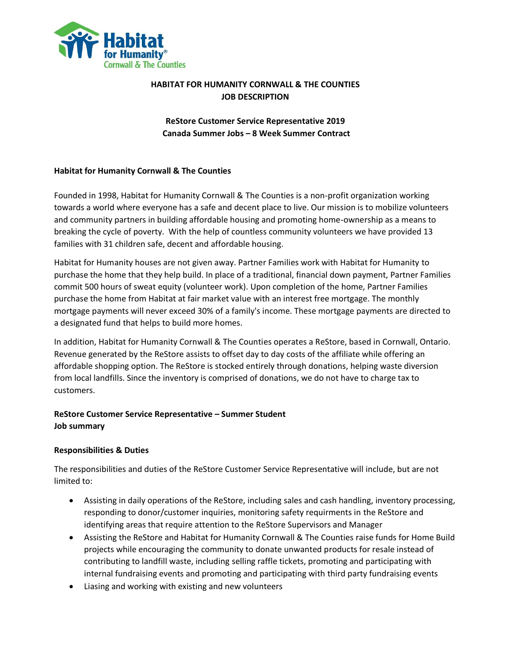

# **HABITAT FOR HUMANITY CORNWALL & THE COUNTIES JOB DESCRIPTION**

**ReStore Customer Service Representative 2019 Canada Summer Jobs – 8 Week Summer Contract**

### **Habitat for Humanity Cornwall & The Counties**

Founded in 1998, Habitat for Humanity Cornwall & The Counties is a non-profit organization working towards a world where everyone has a safe and decent place to live. Our mission is to mobilize volunteers and community partners in building affordable housing and promoting home-ownership as a means to breaking the cycle of poverty. With the help of countless community volunteers we have provided 13 families with 31 children safe, decent and affordable housing.

Habitat for Humanity houses are not given away. Partner Families work with Habitat for Humanity to purchase the home that they help build. In place of a traditional, financial down payment, Partner Families commit 500 hours of sweat equity (volunteer work). Upon completion of the home, Partner Families purchase the home from Habitat at fair market value with an interest free mortgage. The monthly mortgage payments will never exceed 30% of a family's income. These mortgage payments are directed to a designated fund that helps to build more homes.

In addition, Habitat for Humanity Cornwall & The Counties operates a ReStore, based in Cornwall, Ontario. Revenue generated by the ReStore assists to offset day to day costs of the affiliate while offering an affordable shopping option. The ReStore is stocked entirely through donations, helping waste diversion from local landfills. Since the inventory is comprised of donations, we do not have to charge tax to customers.

# **ReStore Customer Service Representative – Summer Student Job summary**

# **Responsibilities & Duties**

The responsibilities and duties of the ReStore Customer Service Representative will include, but are not limited to:

- Assisting in daily operations of the ReStore, including sales and cash handling, inventory processing, responding to donor/customer inquiries, monitoring safety requirments in the ReStore and identifying areas that require attention to the ReStore Supervisors and Manager
- Assisting the ReStore and Habitat for Humanity Cornwall & The Counties raise funds for Home Build projects while encouraging the community to donate unwanted products for resale instead of contributing to landfill waste, including selling raffle tickets, promoting and participating with internal fundraising events and promoting and participating with third party fundraising events
- Liasing and working with existing and new volunteers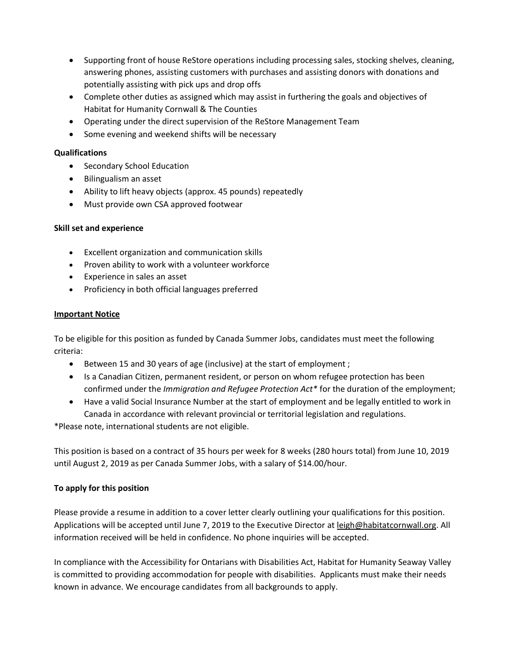- Supporting front of house ReStore operations including processing sales, stocking shelves, cleaning, answering phones, assisting customers with purchases and assisting donors with donations and potentially assisting with pick ups and drop offs
- Complete other duties as assigned which may assist in furthering the goals and objectives of Habitat for Humanity Cornwall & The Counties
- Operating under the direct supervision of the ReStore Management Team
- Some evening and weekend shifts will be necessary

## **Qualifications**

- Secondary School Education
- Bilingualism an asset
- Ability to lift heavy objects (approx. 45 pounds) repeatedly
- Must provide own CSA approved footwear

# **Skill set and experience**

- Excellent organization and communication skills
- Proven ability to work with a volunteer workforce
- Experience in sales an asset
- Proficiency in both official languages preferred

### **Important Notice**

To be eligible for this position as funded by Canada Summer Jobs, candidates must meet the following criteria:

- Between 15 and 30 years of age (inclusive) at the start of employment ;
- Is a Canadian Citizen, permanent resident, or person on whom refugee protection has been confirmed under the *Immigration and Refugee Protection Act\** for the duration of the employment;
- Have a valid Social Insurance Number at the start of employment and be legally entitled to work in Canada in accordance with relevant provincial or territorial legislation and regulations.

\*Please note, international students are not eligible.

This position is based on a contract of 35 hours per week for 8 weeks (280 hours total) from June 10, 2019 until August 2, 2019 as per Canada Summer Jobs, with a salary of \$14.00/hour.

# **To apply for this position**

Please provide a resume in addition to a cover letter clearly outlining your qualifications for this position. Applications will be accepted until June 7, 2019 to the Executive Director at leigh@habitatcornwall.org. All information received will be held in confidence. No phone inquiries will be accepted.

In compliance with the Accessibility for Ontarians with Disabilities Act, Habitat for Humanity Seaway Valley is committed to providing accommodation for people with disabilities. Applicants must make their needs known in advance. We encourage candidates from all backgrounds to apply.